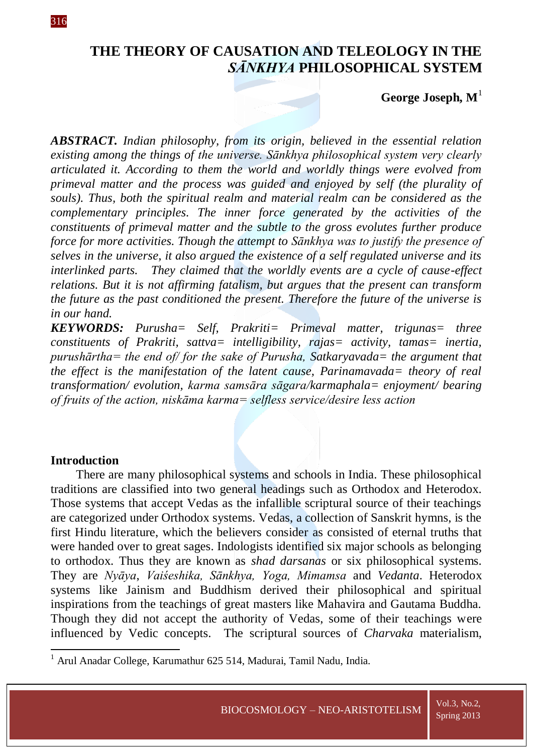# **THE THEORY OF CAUSATION AND TELEOLOGY IN THE**  *SĀNKHYA* **PHILOSOPHICAL SYSTEM**

# **George Joseph, M**<sup>1</sup>

*ABSTRACT. Indian philosophy, from its origin, believed in the essential relation existing among the things of the universe. Sānkhya philosophical system very clearly articulated it. According to them the world and worldly things were evolved from primeval matter and the process was guided and enjoyed by self (the plurality of souls). Thus, both the spiritual realm and material realm can be considered as the complementary principles. The inner force generated by the activities of the constituents of primeval matter and the subtle to the gross evolutes further produce force for more activities. Though the attempt to Sānkhya was to justify the presence of selves in the universe, it also argued the existence of a self regulated universe and its interlinked parts. They claimed that the worldly events are a cycle of cause-effect relations. But it is not affirming fatalism, but argues that the present can transform the future as the past conditioned the present. Therefore the future of the universe is in our hand.*

*KEYWORDS: Purusha= Self, Prakriti= Primeval matter, trigunas= three constituents of Prakriti, sattva= intelligibility, rajas= activity, tamas= inertia, purushārtha= the end of/ for the sake of Purusha, Satkaryavada= the argument that the effect is the manifestation of the latent cause, Parinamavada= theory of real transformation/ evolution, karma samsāra sāgara/karmaphala= enjoyment/ bearing of fruits of the action, niskāma karma= selfless service/desire less action* 

### **Introduction**

**.** 

There are many philosophical systems and schools in India. These philosophical traditions are classified into two general headings such as Orthodox and Heterodox. Those systems that accept Vedas as the infallible scriptural source of their teachings are categorized under Orthodox systems. Vedas, a collection of Sanskrit hymns, is the first Hindu literature, which the believers consider as consisted of eternal truths that were handed over to great sages. Indologists identified six major schools as belonging to orthodox. Thus they are known as *shad darsanas* or six philosophical systems. They are *Nyāya*, *Vaiśeshika, Sānkhya, Yoga, Mimamsa* and *Vedanta*. Heterodox systems like Jainism and Buddhism derived their philosophical and spiritual inspirations from the teachings of great masters like Mahavira and Gautama Buddha. Though they did not accept the authority of Vedas, some of their teachings were influenced by Vedic concepts. The scriptural sources of *Charvaka* materialism,

<sup>&</sup>lt;sup>1</sup> Arul Anadar College, Karumathur 625 514, Madurai, Tamil Nadu, India.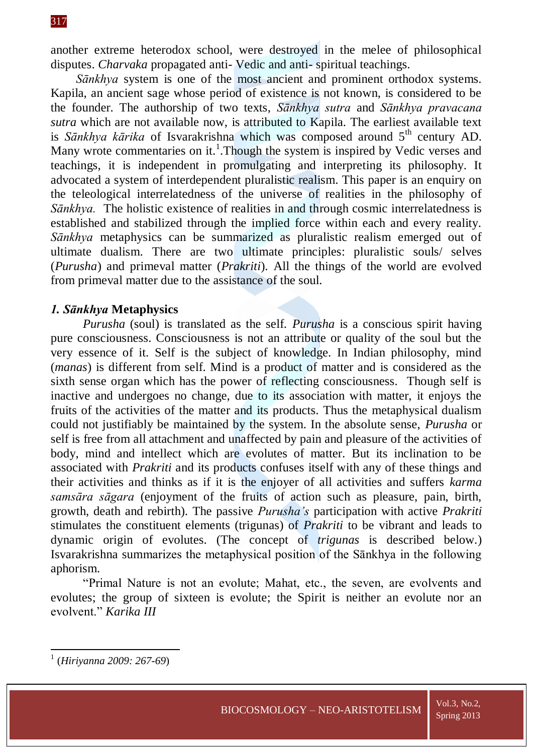another extreme heterodox school, were destroyed in the melee of philosophical disputes. *Charvaka* propagated anti- Vedic and anti- spiritual teachings.

*Sānkhya* system is one of the most ancient and prominent orthodox systems. Kapila, an ancient sage whose period of existence is not known, is considered to be the founder. The authorship of two texts, *Sānkhya sutra* and *Sānkhya pravacana sutra* which are not available now, is attributed to Kapila. The earliest available text is *Sānkhya kārika* of Isvarakrishna which was composed around 5<sup>th</sup> century AD. Many wrote commentaries on it.<sup>1</sup>. Though the system is inspired by Vedic verses and teachings, it is independent in promulgating and interpreting its philosophy. It advocated a system of interdependent pluralistic realism. This paper is an enquiry on the teleological interrelatedness of the universe of realities in the philosophy of *Sānkhya*. The holistic existence of realities in and through cosmic interrelatedness is established and stabilized through the implied force within each and every reality. *Sānkhya* metaphysics can be summarized as pluralistic realism emerged out of ultimate dualism. There are two ultimate principles: pluralistic souls/ selves (*Purusha*) and primeval matter (*Prakriti*). All the things of the world are evolved from primeval matter due to the assistance of the soul.

# *1. Sānkhya* **Metaphysics**

*Purusha* (soul) is translated as the self. *Purusha* is a conscious spirit having pure consciousness. Consciousness is not an attribute or quality of the soul but the very essence of it. Self is the subject of knowledge. In Indian philosophy, mind (*manas*) is different from self. Mind is a product of matter and is considered as the sixth sense organ which has the power of reflecting consciousness. Though self is inactive and undergoes no change, due to its association with matter, it enjoys the fruits of the activities of the matter and its products. Thus the metaphysical dualism could not justifiably be maintained by the system. In the absolute sense, *Purusha* or self is free from all attachment and unaffected by pain and pleasure of the activities of body, mind and intellect which are evolutes of matter. But its inclination to be associated with *Prakriti* and its products confuses itself with any of these things and their activities and thinks as if it is the enjoyer of all activities and suffers *karma samsāra sāgara* (enjoyment of the fruits of action such as pleasure, pain, birth, growth, death and rebirth). The passive *Purusha's* participation with active *Prakriti* stimulates the constituent elements (trigunas) of *Prakriti* to be vibrant and leads to dynamic origin of evolutes. (The concept of *trigunas* is described below.) Isvarakrishna summarizes the metaphysical position of the Sānkhya in the following aphorism.

"Primal Nature is not an evolute; Mahat, etc., the seven, are evolvents and evolutes; the group of sixteen is evolute; the Spirit is neither an evolute nor an evolvent." *Karika III*

**.** 

<sup>1</sup> (*Hiriyanna 2009: 267-69*)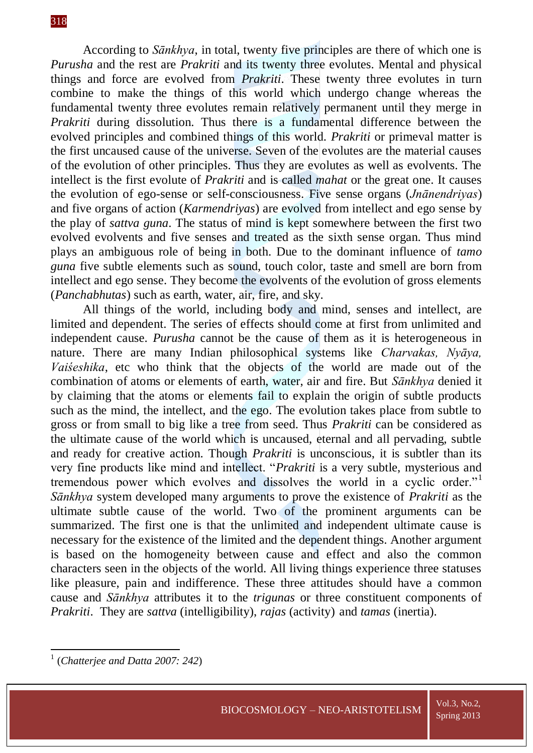According to *Sānkhya*, in total, twenty five principles are there of which one is *Purusha* and the rest are *Prakriti* and its twenty three evolutes. Mental and physical things and force are evolved from *Prakriti*. These twenty three evolutes in turn combine to make the things of this world which undergo change whereas the fundamental twenty three evolutes remain relatively permanent until they merge in *Prakriti* during dissolution. Thus there is a fundamental difference between the evolved principles and combined things of this world. *Prakriti* or primeval matter is the first uncaused cause of the universe. Seven of the evolutes are the material causes of the evolution of other principles. Thus they are evolutes as well as evolvents. The intellect is the first evolute of *Prakriti* and is called *mahat* or the great one. It causes the evolution of ego-sense or self-consciousness. Five sense organs (*Jnānendriyas*) and five organs of action (*Karmendriyas*) are evolved from intellect and ego sense by the play of *sattva guna*. The status of mind is kept somewhere between the first two evolved evolvents and five senses and treated as the sixth sense organ. Thus mind plays an ambiguous role of being in both. Due to the dominant influence of *tamo guna* five subtle elements such as sound, touch color, taste and smell are born from intellect and ego sense. They become the evolvents of the evolution of gross elements (*Panchabhutas*) such as earth, water, air, fire, and sky.

All things of the world, including body and mind, senses and intellect, are limited and dependent. The series of effects should come at first from unlimited and independent cause. *Purusha* cannot be the cause of them as it is heterogeneous in nature. There are many Indian philosophical systems like *Charvakas, Nyāya, Vaiśeshika*, etc who think that the objects of the world are made out of the combination of atoms or elements of earth, water, air and fire. But *Sānkhya* denied it by claiming that the atoms or elements fail to explain the origin of subtle products such as the mind, the intellect, and the ego. The evolution takes place from subtle to gross or from small to big like a tree from seed. Thus *Prakriti* can be considered as the ultimate cause of the world which is uncaused, eternal and all pervading, subtle and ready for creative action. Though *Prakriti* is unconscious, it is subtler than its very fine products like mind and intellect. "*Prakriti* is a very subtle, mysterious and tremendous power which evolves and dissolves the world in a cyclic order."<sup>1</sup> *Sānkhya* system developed many arguments to prove the existence of *Prakriti* as the ultimate subtle cause of the world. Two of the prominent arguments can be summarized. The first one is that the unlimited and independent ultimate cause is necessary for the existence of the limited and the dependent things. Another argument is based on the homogeneity between cause and effect and also the common characters seen in the objects of the world. All living things experience three statuses like pleasure, pain and indifference. These three attitudes should have a common cause and *Sānkhya* attributes it to the *trigunas* or three constituent components of *Prakriti*. They are *sattva* (intelligibility), *rajas* (activity) and *tamas* (inertia).

 1 (*Chatterjee and Datta 2007: 242*)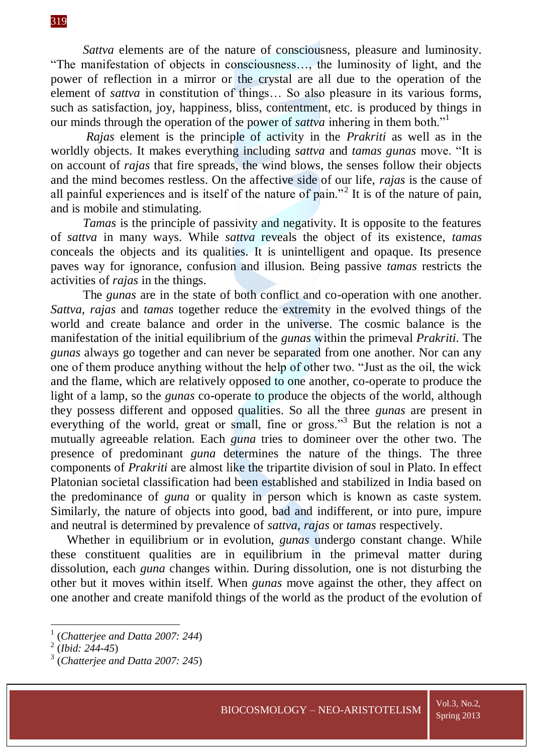*Sattva* elements are of the nature of consciousness, pleasure and luminosity. "The manifestation of objects in consciousness…, the luminosity of light, and the power of reflection in a mirror or the crystal are all due to the operation of the element of *sattva* in constitution of things… So also pleasure in its various forms, such as satisfaction, joy, happiness, bliss, contentment, etc. is produced by things in our minds through the operation of the power of *sattva* inhering in them both."<sup>1</sup>

*Rajas* element is the principle of activity in the *Prakriti* as well as in the worldly objects. It makes everything including *sattva* and *tamas gunas* move. "It is on account of *rajas* that fire spreads, the wind blows, the senses follow their objects and the mind becomes restless. On the affective side of our life, *rajas* is the cause of all painful experiences and is itself of the nature of pain."<sup>2</sup> It is of the nature of pain, and is mobile and stimulating.

*Tamas* is the principle of passivity and negativity. It is opposite to the features of *sattva* in many ways. While *sattva* reveals the object of its existence, *tamas* conceals the objects and its qualities. It is unintelligent and opaque. Its presence paves way for ignorance, confusion and illusion. Being passive *tamas* restricts the activities of *rajas* in the things.

The *gunas* are in the state of both conflict and co-operation with one another. *Sattva*, *rajas* and *tamas* together reduce the extremity in the evolved things of the world and create balance and order in the universe. The cosmic balance is the manifestation of the initial equilibrium of the *gunas* within the primeval *Prakriti*. The *gunas* always go together and can never be separated from one another. Nor can any one of them produce anything without the help of other two. "Just as the oil, the wick and the flame, which are relatively opposed to one another, co-operate to produce the light of a lamp, so the *gunas* co-operate to produce the objects of the world, although they possess different and opposed qualities. So all the three *gunas* are present in everything of the world, great or small, fine or gross."<sup>3</sup> But the relation is not a mutually agreeable relation. Each *guna* tries to domineer over the other two. The presence of predominant *guna* determines the nature of the things. The three components of *Prakriti* are almost like the tripartite division of soul in Plato. In effect Platonian societal classification had been established and stabilized in India based on the predominance of *guna* or quality in person which is known as caste system. Similarly, the nature of objects into good, bad and indifferent, or into pure, impure and neutral is determined by prevalence of *sattva*, *rajas* or *tamas* respectively.

Whether in equilibrium or in evolution, *gunas* undergo constant change. While these constituent qualities are in equilibrium in the primeval matter during dissolution, each *guna* changes within. During dissolution, one is not disturbing the other but it moves within itself. When *gunas* move against the other, they affect on one another and create manifold things of the world as the product of the evolution of

1

<sup>1</sup> (*Chatterjee and Datta 2007: 244*)

<sup>2</sup> (*Ibid: 244-45*)

<sup>3</sup> (*Chatterjee and Datta 2007: 245*)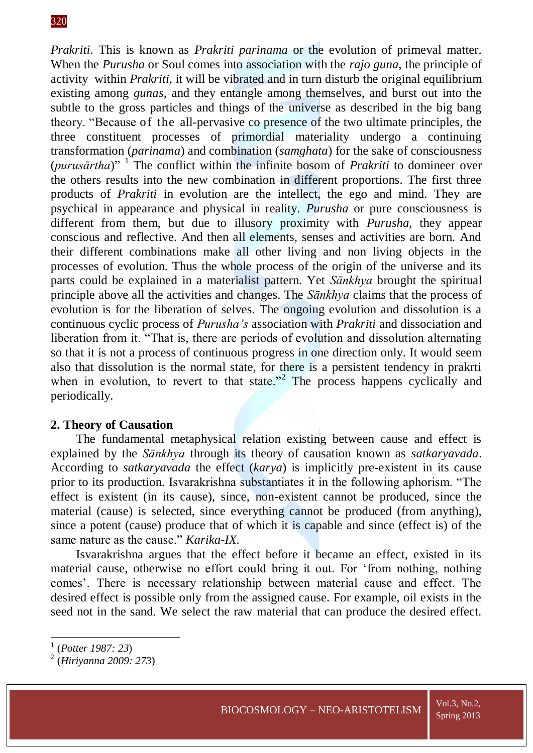*Prakriti*. This is known as *Prakriti parinama* or the evolution of primeval matter. When the *Purusha* or Soul comes into association with the *rajo guna*, the principle of activity within *Prakriti,* it will be vibrated and in turn disturb the original equilibrium existing among *gunas*, and they entangle among themselves, and burst out into the subtle to the gross particles and things of the universe as described in the big bang theory. "Because of the all-pervasive co presence of the two ultimate principles, the three constituent processes of primordial materiality undergo a continuing transformation (*parinama*) and combination (*samghata*) for the sake of consciousness (*purusārtha*)" <sup>1</sup> The conflict within the infinite bosom of *Prakriti* to domineer over the others results into the new combination in different proportions. The first three products of *Prakriti* in evolution are the intellect, the ego and mind. They are psychical in appearance and physical in reality. *Purusha* or pure consciousness is different from them, but due to illusory proximity with *Purusha*, they appear conscious and reflective. And then all elements, senses and activities are born. And their different combinations make all other living and non living objects in the processes of evolution. Thus the whole process of the origin of the universe and its parts could be explained in a materialist pattern. Yet *Sānkhya* brought the spiritual principle above all the activities and changes. The *Sānkhya* claims that the process of evolution is for the liberation of selves. The ongoing evolution and dissolution is a continuous cyclic process of *Purusha's* association with *Prakriti* and dissociation and liberation from it. "That is, there are periods of evolution and dissolution alternating so that it is not a process of continuous progress in one direction only. It would seem also that dissolution is the normal state, for there is a persistent tendency in prakrti when in evolution, to revert to that state."<sup>2</sup> The process happens cyclically and periodically.

#### **2. Theory of Causation**

The fundamental metaphysical relation existing between cause and effect is explained by the *Sānkhya* through its theory of causation known as *satkaryavada*. According to *satkaryavada* the effect (*karya*) is implicitly pre-existent in its cause prior to its production. Isvarakrishna substantiates it in the following aphorism. "The effect is existent (in its cause), since, non-existent cannot be produced, since the material (cause) is selected, since everything cannot be produced (from anything), since a potent (cause) produce that of which it is capable and since (effect is) of the same nature as the cause." *Karika*-*IX*.

Isvarakrishna argues that the effect before it became an effect, existed in its material cause, otherwise no effort could bring it out. For 'from nothing, nothing comes'. There is necessary relationship between material cause and effect. The desired effect is possible only from the assigned cause. For example, oil exists in the seed not in the sand. We select the raw material that can produce the desired effect.

 1 (*Potter 1987: 23*)

<sup>2</sup> (*Hiriyanna 2009: 273*)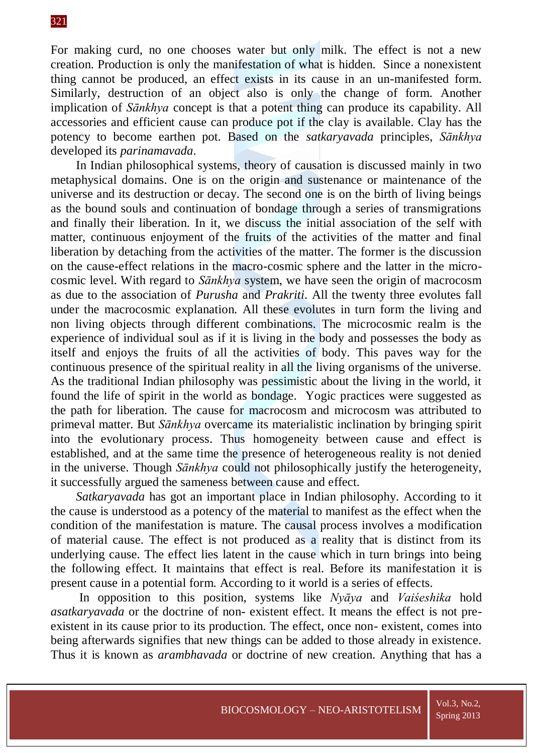For making curd, no one chooses water but only milk. The effect is not a new creation. Production is only the manifestation of what is hidden. Since a nonexistent thing cannot be produced, an effect exists in its cause in an un-manifested form. Similarly, destruction of an object also is only the change of form. Another implication of *Sānkhya* concept is that a potent thing can produce its capability. All accessories and efficient cause can produce pot if the clay is available. Clay has the potency to become earthen pot. Based on the *satkaryavada* principles, *Sānkhya* developed its *parinamavada*.

In Indian philosophical systems, theory of causation is discussed mainly in two metaphysical domains. One is on the origin and sustenance or maintenance of the universe and its destruction or decay. The second one is on the birth of living beings as the bound souls and continuation of bondage through a series of transmigrations and finally their liberation. In it, we discuss the initial association of the self with matter, continuous enjoyment of the fruits of the activities of the matter and final liberation by detaching from the activities of the matter. The former is the discussion on the cause-effect relations in the macro-cosmic sphere and the latter in the microcosmic level. With regard to *Sānkhya* system, we have seen the origin of macrocosm as due to the association of *Purusha* and *Prakriti*. All the twenty three evolutes fall under the macrocosmic explanation. All these evolutes in turn form the living and non living objects through different combinations. The microcosmic realm is the experience of individual soul as if it is living in the body and possesses the body as itself and enjoys the fruits of all the activities of body. This paves way for the continuous presence of the spiritual reality in all the living organisms of the universe. As the traditional Indian philosophy was pessimistic about the living in the world, it found the life of spirit in the world as bondage. Yogic practices were suggested as the path for liberation. The cause for macrocosm and microcosm was attributed to primeval matter. But *Sānkhya* overcame its materialistic inclination by bringing spirit into the evolutionary process. Thus homogeneity between cause and effect is established, and at the same time the presence of heterogeneous reality is not denied in the universe. Though *Sānkhya* could not philosophically justify the heterogeneity, it successfully argued the sameness between cause and effect.

*Satkaryavada* has got an important place in Indian philosophy. According to it the cause is understood as a potency of the material to manifest as the effect when the condition of the manifestation is mature. The causal process involves a modification of material cause. The effect is not produced as a reality that is distinct from its underlying cause. The effect lies latent in the cause which in turn brings into being the following effect. It maintains that effect is real. Before its manifestation it is present cause in a potential form. According to it world is a series of effects.

In opposition to this position, systems like *Nyāya* and *Vaiśeshika* hold *asatkaryavada* or the doctrine of non- existent effect. It means the effect is not preexistent in its cause prior to its production. The effect, once non- existent, comes into being afterwards signifies that new things can be added to those already in existence. Thus it is known as *arambhavada* or doctrine of new creation. Anything that has a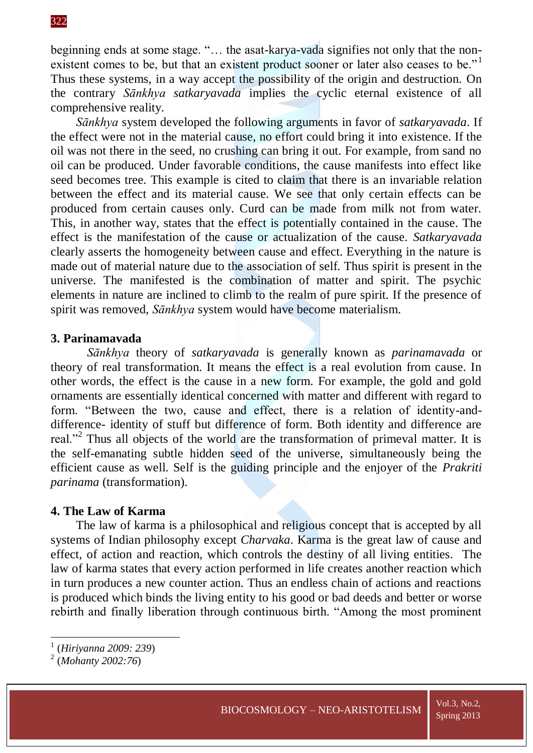beginning ends at some stage. "… the asat-karya-vada signifies not only that the nonexistent comes to be, but that an existent product sooner or later also ceases to be."<sup>1</sup> Thus these systems, in a way accept the possibility of the origin and destruction. On the contrary *Sānkhya satkaryavada* implies the cyclic eternal existence of all comprehensive reality.

*Sānkhya* system developed the following arguments in favor of *satkaryavada*. If the effect were not in the material cause, no effort could bring it into existence. If the oil was not there in the seed, no crushing can bring it out. For example, from sand no oil can be produced. Under favorable conditions, the cause manifests into effect like seed becomes tree. This example is cited to claim that there is an invariable relation between the effect and its material cause. We see that only certain effects can be produced from certain causes only. Curd can be made from milk not from water. This, in another way, states that the effect is potentially contained in the cause. The effect is the manifestation of the cause or actualization of the cause. *Satkaryavada* clearly asserts the homogeneity between cause and effect. Everything in the nature is made out of material nature due to the association of self. Thus spirit is present in the universe. The manifested is the combination of matter and spirit. The psychic elements in nature are inclined to climb to the realm of pure spirit. If the presence of spirit was removed, *Sānkhya* system would have become materialism.

# **3. Parinamavada**

*Sānkhya* theory of *satkaryavada* is generally known as *parinamavada* or theory of real transformation. It means the effect is a real evolution from cause. In other words, the effect is the cause in a new form. For example, the gold and gold ornaments are essentially identical concerned with matter and different with regard to form. "Between the two, cause and effect, there is a relation of identity-anddifference- identity of stuff but difference of form. Both identity and difference are real."<sup>2</sup> Thus all objects of the world are the transformation of primeval matter. It is the self-emanating subtle hidden seed of the universe, simultaneously being the efficient cause as well. Self is the guiding principle and the enjoyer of the *Prakriti parinama* (transformation).

# **4. The Law of Karma**

The law of karma is a philosophical and religious concept that is accepted by all systems of Indian philosophy except *Charvaka*. Karma is the great law of cause and effect, of action and reaction, which controls the destiny of all living entities. The law of karma states that every action performed in life creates another reaction which in turn produces a new counter action. Thus an endless chain of actions and reactions is produced which binds the living entity to his good or bad deeds and better or worse rebirth and finally liberation through continuous birth. "Among the most prominent

 1 (*Hiriyanna 2009: 239*)

<sup>2</sup> (*Mohanty 2002:76*)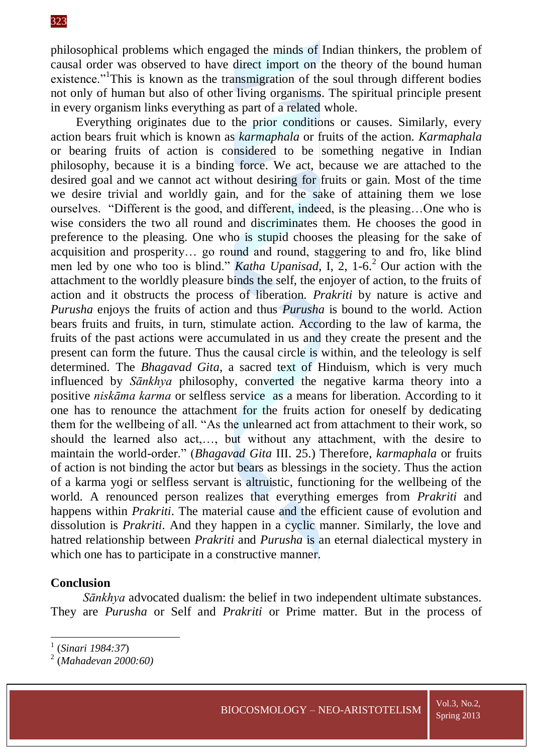philosophical problems which engaged the minds of Indian thinkers, the problem of causal order was observed to have direct import on the theory of the bound human existence."<sup>1</sup>This is known as the transmigration of the soul through different bodies not only of human but also of other living organisms. The spiritual principle present in every organism links everything as part of a related whole.

Everything originates due to the prior conditions or causes. Similarly, every action bears fruit which is known as *karmaphala* or fruits of the action. *Karmaphala* or bearing fruits of action is considered to be something negative in Indian philosophy, because it is a binding force. We act, because we are attached to the desired goal and we cannot act without desiring for fruits or gain. Most of the time we desire trivial and worldly gain, and for the sake of attaining them we lose ourselves. "Different is the good, and different, indeed, is the pleasing…One who is wise considers the two all round and discriminates them. He chooses the good in preference to the pleasing. One who is stupid chooses the pleasing for the sake of acquisition and prosperity… go round and round, staggering to and fro, like blind men led by one who too is blind." *Katha Upanisad*, I, 2, 1-6.<sup>2</sup> Our action with the attachment to the worldly pleasure binds the self, the enjoyer of action, to the fruits of action and it obstructs the process of liberation. *Prakriti* by nature is active and *Purusha* enjoys the fruits of action and thus *Purusha* is bound to the world. Action bears fruits and fruits, in turn, stimulate action. According to the law of karma, the fruits of the past actions were accumulated in us and they create the present and the present can form the future. Thus the causal circle is within, and the teleology is self determined. The *Bhagavad Gita*, a sacred text of Hinduism, which is very much influenced by *Sānkhya* philosophy, converted the negative karma theory into a positive *niskāma karma* or selfless service as a means for liberation. According to it one has to renounce the attachment for the fruits action for oneself by dedicating them for the wellbeing of all. "As the unlearned act from attachment to their work, so should the learned also act,…, but without any attachment, with the desire to maintain the world-order." (*Bhagavad Gita* III. 25.) Therefore, *karmaphala* or fruits of action is not binding the actor but bears as blessings in the society. Thus the action of a karma yogi or selfless servant is altruistic, functioning for the wellbeing of the world. A renounced person realizes that everything emerges from *Prakriti* and happens within *Prakriti*. The material cause and the efficient cause of evolution and dissolution is *Prakriti*. And they happen in a cyclic manner. Similarly, the love and hatred relationship between *Prakriti* and *Purusha* is an eternal dialectical mystery in which one has to participate in a constructive manner.

# **Conclusion**

*Sānkhya* advocated dualism: the belief in two independent ultimate substances. They are *Purusha* or Self and *Prakriti* or Prime matter. But in the process of

 1 (*Sinari 1984:37*)

<sup>2</sup> (*Mahadevan 2000:60)*